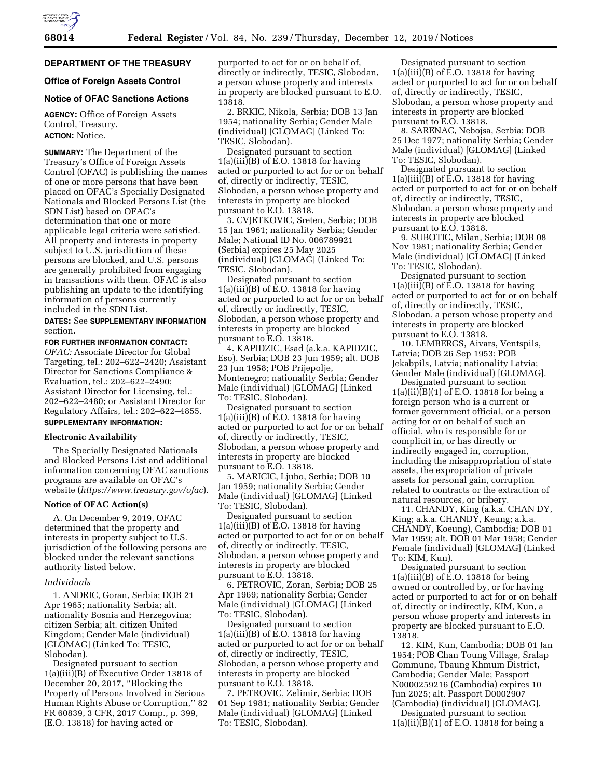

## **DEPARTMENT OF THE TREASURY**

## **Office of Foreign Assets Control**

# **Notice of OFAC Sanctions Actions**

**AGENCY:** Office of Foreign Assets Control, Treasury. **ACTION:** Notice.

**SUMMARY:** The Department of the Treasury's Office of Foreign Assets Control (OFAC) is publishing the names of one or more persons that have been placed on OFAC's Specially Designated Nationals and Blocked Persons List (the SDN List) based on OFAC's determination that one or more applicable legal criteria were satisfied. All property and interests in property subject to U.S. jurisdiction of these persons are blocked, and U.S. persons are generally prohibited from engaging in transactions with them. OFAC is also publishing an update to the identifying information of persons currently included in the SDN List.

## **DATES:** See **SUPPLEMENTARY INFORMATION** section.

**FOR FURTHER INFORMATION CONTACT:**  *OFAC:* Associate Director for Global Targeting, tel.: 202–622–2420; Assistant Director for Sanctions Compliance & Evaluation, tel.: 202–622–2490; Assistant Director for Licensing, tel.: 202–622–2480; or Assistant Director for Regulatory Affairs, tel.: 202–622–4855. **SUPPLEMENTARY INFORMATION:** 

# **Electronic Availability**

The Specially Designated Nationals and Blocked Persons List and additional information concerning OFAC sanctions programs are available on OFAC's website (*<https://www.treasury.gov/ofac>*).

#### **Notice of OFAC Action(s)**

A. On December 9, 2019, OFAC determined that the property and interests in property subject to U.S. jurisdiction of the following persons are blocked under the relevant sanctions authority listed below.

#### *Individuals*

1. ANDRIC, Goran, Serbia; DOB 21 Apr 1965; nationality Serbia; alt. nationality Bosnia and Herzegovina; citizen Serbia; alt. citizen United Kingdom; Gender Male (individual) [GLOMAG] (Linked To: TESIC, Slobodan).

Designated pursuant to section 1(a)(iii)(B) of Executive Order 13818 of December 20, 2017, ''Blocking the Property of Persons Involved in Serious Human Rights Abuse or Corruption,'' 82 FR 60839, 3 CFR, 2017 Comp., p. 399, (E.O. 13818) for having acted or

purported to act for or on behalf of, directly or indirectly, TESIC, Slobodan, a person whose property and interests in property are blocked pursuant to E.O. 13818.

2. BRKIC, Nikola, Serbia; DOB 13 Jan 1954; nationality Serbia; Gender Male (individual) [GLOMAG] (Linked To: TESIC, Slobodan).

Designated pursuant to section  $1(a)(iii)(B)$  of  $\overline{E}$ .O. 13818 for having acted or purported to act for or on behalf of, directly or indirectly, TESIC, Slobodan, a person whose property and interests in property are blocked pursuant to E.O. 13818.

3. CVJETKOVIC, Sreten, Serbia; DOB 15 Jan 1961; nationality Serbia; Gender Male; National ID No. 006789921 (Serbia) expires 25 May 2025 (individual) [GLOMAG] (Linked To: TESIC, Slobodan).

Designated pursuant to section 1(a)(iii)(B) of E.O. 13818 for having acted or purported to act for or on behalf of, directly or indirectly, TESIC, Slobodan, a person whose property and interests in property are blocked pursuant to E.O. 13818.

4. KAPIDZIC, Esad (a.k.a. KAPIDZIC, Eso), Serbia; DOB 23 Jun 1959; alt. DOB 23 Jun 1958; POB Prijepolje, Montenegro; nationality Serbia; Gender Male (individual) [GLOMAG] (Linked To: TESIC, Slobodan).

Designated pursuant to section 1(a)(iii)(B) of E.O. 13818 for having acted or purported to act for or on behalf of, directly or indirectly, TESIC, Slobodan, a person whose property and interests in property are blocked pursuant to E.O. 13818.

5. MARICIC, Ljubo, Serbia; DOB 10 Jan 1959; nationality Serbia; Gender Male (individual) [GLOMAG] (Linked To: TESIC, Slobodan).

Designated pursuant to section 1(a)(iii)(B) of E.O. 13818 for having acted or purported to act for or on behalf of, directly or indirectly, TESIC, Slobodan, a person whose property and interests in property are blocked pursuant to E.O. 13818.

6. PETROVIC, Zoran, Serbia; DOB 25 Apr 1969; nationality Serbia; Gender Male (individual) [GLOMAG] (Linked To: TESIC, Slobodan).

Designated pursuant to section 1(a)(iii)(B) of E.O. 13818 for having acted or purported to act for or on behalf of, directly or indirectly, TESIC, Slobodan, a person whose property and interests in property are blocked pursuant to E.O. 13818.

7. PETROVIC, Zelimir, Serbia; DOB 01 Sep 1981; nationality Serbia; Gender Male (individual) [GLOMAG] (Linked To: TESIC, Slobodan).

Designated pursuant to section 1(a)(iii)(B) of E.O. 13818 for having acted or purported to act for or on behalf of, directly or indirectly, TESIC, Slobodan, a person whose property and interests in property are blocked pursuant to E.O. 13818.

8. SARENAC, Nebojsa, Serbia; DOB 25 Dec 1977; nationality Serbia; Gender Male (individual) [GLOMAG] (Linked To: TESIC, Slobodan).

Designated pursuant to section 1(a)(iii)(B) of E.O. 13818 for having acted or purported to act for or on behalf of, directly or indirectly, TESIC, Slobodan, a person whose property and interests in property are blocked pursuant to E.O. 13818.

9. SUBOTIC, Milan, Serbia; DOB 08 Nov 1981; nationality Serbia; Gender Male (individual) [GLOMAG] (Linked To: TESIC, Slobodan).

Designated pursuant to section 1(a)(iii)(B) of E.O. 13818 for having acted or purported to act for or on behalf of, directly or indirectly, TESIC, Slobodan, a person whose property and interests in property are blocked pursuant to E.O. 13818.

10. LEMBERGS, Aivars, Ventspils, Latvia; DOB 26 Sep 1953; POB Jekabpils, Latvia; nationality Latvia; Gender Male (individual) [GLOMAG].

Designated pursuant to section  $1(a)(ii)(B)(1)$  of E.O. 13818 for being a foreign person who is a current or former government official, or a person acting for or on behalf of such an official, who is responsible for or complicit in, or has directly or indirectly engaged in, corruption, including the misappropriation of state assets, the expropriation of private assets for personal gain, corruption related to contracts or the extraction of natural resources, or bribery.

11. CHANDY, King (a.k.a. CHAN DY, King; a.k.a. CHANDY, Keung; a.k.a. CHANDY, Koeung), Cambodia; DOB 01 Mar 1959; alt. DOB 01 Mar 1958; Gender Female (individual) [GLOMAG] (Linked To: KIM, Kun).

Designated pursuant to section 1(a)(iii)(B) of E.O. 13818 for being owned or controlled by, or for having acted or purported to act for or on behalf of, directly or indirectly, KIM, Kun, a person whose property and interests in property are blocked pursuant to E.O. 13818.

12. KIM, Kun, Cambodia; DOB 01 Jan 1954; POB Chan Toung Village, Sralap Commune, Tbaung Khmum District, Cambodia; Gender Male; Passport N0000259216 (Cambodia) expires 10 Jun 2025; alt. Passport D0002907 (Cambodia) (individual) [GLOMAG].

Designated pursuant to section 1(a)(ii)(B)(1) of E.O. 13818 for being a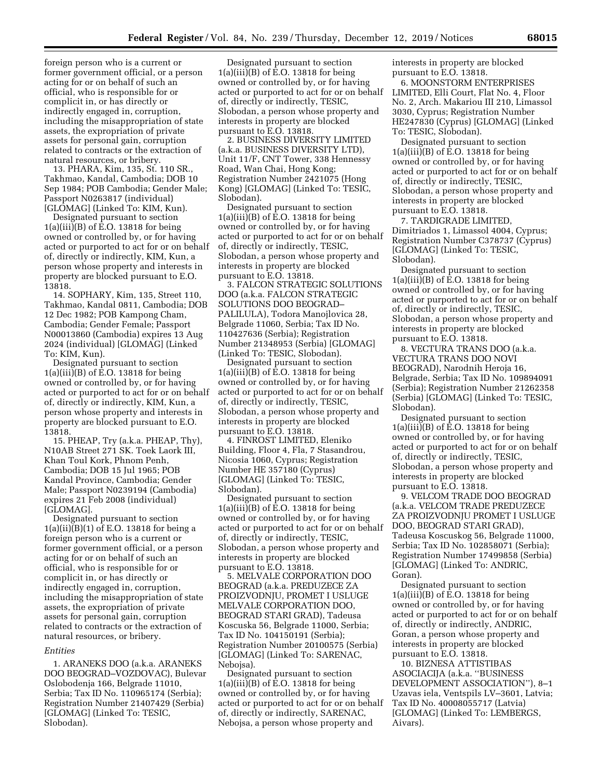foreign person who is a current or former government official, or a person acting for or on behalf of such an official, who is responsible for or complicit in, or has directly or indirectly engaged in, corruption, including the misappropriation of state assets, the expropriation of private assets for personal gain, corruption related to contracts or the extraction of natural resources, or bribery.

13. PHARA, Kim, 135, St. 110 SR., Takhmao, Kandal, Cambodia; DOB 10 Sep 1984; POB Cambodia; Gender Male; Passport N0263817 (individual) [GLOMAG] (Linked To: KIM, Kun).

Designated pursuant to section 1(a)(iii)(B) of E.O. 13818 for being owned or controlled by, or for having acted or purported to act for or on behalf of, directly or indirectly, KIM, Kun, a person whose property and interests in property are blocked pursuant to E.O. 13818.

14. SOPHARY, Kim, 135, Street 110, Takhmao, Kandal 0811, Cambodia; DOB 12 Dec 1982; POB Kampong Cham, Cambodia; Gender Female; Passport N00013860 (Cambodia) expires 13 Aug 2024 (individual) [GLOMAG] (Linked To: KIM, Kun).

Designated pursuant to section 1(a)(iii)(B) of E.O. 13818 for being owned or controlled by, or for having acted or purported to act for or on behalf of, directly or indirectly, KIM, Kun, a person whose property and interests in property are blocked pursuant to E.O. 13818.

15. PHEAP, Try (a.k.a. PHEAP, Thy), N10AB Street 271 SK. Toek Laork III, Khan Toul Kork, Phnom Penh, Cambodia; DOB 15 Jul 1965; POB Kandal Province, Cambodia; Gender Male; Passport N0239194 (Cambodia) expires 21 Feb 2008 (individual) [GLOMAG].

Designated pursuant to section  $1(a)(ii)(B)(1)$  of E.O. 13818 for being a foreign person who is a current or former government official, or a person acting for or on behalf of such an official, who is responsible for or complicit in, or has directly or indirectly engaged in, corruption, including the misappropriation of state assets, the expropriation of private assets for personal gain, corruption related to contracts or the extraction of natural resources, or bribery.

#### *Entities*

1. ARANEKS DOO (a.k.a. ARANEKS DOO BEOGRAD–VOZDOVAC), Bulevar Oslobodenja 166, Belgrade 11010, Serbia; Tax ID No. 110965174 (Serbia); Registration Number 21407429 (Serbia) [GLOMAG] (Linked To: TESIC, Slobodan).

Designated pursuant to section  $1(a)(iii)(B)$  of E.O. 13818 for being owned or controlled by, or for having acted or purported to act for or on behalf of, directly or indirectly, TESIC, Slobodan, a person whose property and interests in property are blocked pursuant to E.O. 13818.

2. BUSINESS DIVERSITY LIMITED (a.k.a. BUSINESS DIVERSITY LTD), Unit 11/F, CNT Tower, 338 Hennessy Road, Wan Chai, Hong Kong; Registration Number 2421075 (Hong Kong) [GLOMAG] (Linked To: TESIC, Slobodan).

Designated pursuant to section 1(a)(iii)(B) of E.O. 13818 for being owned or controlled by, or for having acted or purported to act for or on behalf of, directly or indirectly, TESIC, Slobodan, a person whose property and interests in property are blocked pursuant to E.O. 13818.

3. FALCON STRATEGIC SOLUTIONS DOO (a.k.a. FALCON STRATEGIC SOLUTIONS DOO BEOGRAD– PALILULA), Todora Manojlovica 28, Belgrade 11060, Serbia; Tax ID No. 110427636 (Serbia); Registration Number 21348953 (Serbia) [GLOMAG] (Linked To: TESIC, Slobodan).

Designated pursuant to section 1(a)(iii)(B) of E.O. 13818 for being owned or controlled by, or for having acted or purported to act for or on behalf of, directly or indirectly, TESIC, Slobodan, a person whose property and interests in property are blocked pursuant to E.O. 13818.

4. FINROST LIMITED, Eleniko Building, Floor 4, Fla, 7 Stasandrou, Nicosia 1060, Cyprus; Registration Number HE 357180 (Cyprus) [GLOMAG] (Linked To: TESIC, Slobodan).

Designated pursuant to section 1(a)(iii)(B) of E.O. 13818 for being owned or controlled by, or for having acted or purported to act for or on behalf of, directly or indirectly, TESIC, Slobodan, a person whose property and interests in property are blocked pursuant to E.O. 13818.

5. MELVALE CORPORATION DOO BEOGRAD (a.k.a. PREDUZECE ZA PROIZVODNJU, PROMET I USLUGE MELVALE CORPORATION DOO, BEOGRAD STARI GRAD), Tadeusa Koscuska 56, Belgrade 11000, Serbia; Tax ID No. 104150191 (Serbia); Registration Number 20100575 (Serbia) [GLOMAG] (Linked To: SARENAC, Nebojsa).

Designated pursuant to section 1(a)(iii)(B) of E.O. 13818 for being owned or controlled by, or for having acted or purported to act for or on behalf of, directly or indirectly, SARENAC, Nebojsa, a person whose property and

interests in property are blocked pursuant to E.O. 13818.

6. MOONSTORM ENTERPRISES LIMITED, Elli Court, Flat No. 4, Floor No. 2, Arch. Makariou III 210, Limassol 3030, Cyprus; Registration Number HE247830 (Cyprus) [GLOMAG] (Linked To: TESIC, Slobodan).

Designated pursuant to section 1(a)(iii)(B) of E.O. 13818 for being owned or controlled by, or for having acted or purported to act for or on behalf of, directly or indirectly, TESIC, Slobodan, a person whose property and interests in property are blocked pursuant to E.O. 13818.

7. TARDIGRADE LIMITED, Dimitriados 1, Limassol 4004, Cyprus; Registration Number C378737 (Cyprus) [GLOMAG] (Linked To: TESIC, Slobodan).

Designated pursuant to section  $1(a)(iii)(B)$  of E.O. 13818 for being owned or controlled by, or for having acted or purported to act for or on behalf of, directly or indirectly, TESIC, Slobodan, a person whose property and interests in property are blocked pursuant to E.O. 13818.

8. VECTURA TRANS DOO (a.k.a. VECTURA TRANS DOO NOVI BEOGRAD), Narodnih Heroja 16, Belgrade, Serbia; Tax ID No. 109894091 (Serbia); Registration Number 21262358 (Serbia) [GLOMAG] (Linked To: TESIC, Slobodan).

Designated pursuant to section 1(a)(iii)(B) of E.O. 13818 for being owned or controlled by, or for having acted or purported to act for or on behalf of, directly or indirectly, TESIC, Slobodan, a person whose property and interests in property are blocked pursuant to E.O. 13818.

9. VELCOM TRADE DOO BEOGRAD (a.k.a. VELCOM TRADE PREDUZECE ZA PROIZVODNJU PROMET I USLUGE DOO, BEOGRAD STARI GRAD), Tadeusa Koscuskog 56, Belgrade 11000, Serbia; Tax ID No. 102858071 (Serbia); Registration Number 17499858 (Serbia) [GLOMAG] (Linked To: ANDRIC, Goran).

Designated pursuant to section 1(a)(iii)(B) of E.O. 13818 for being owned or controlled by, or for having acted or purported to act for or on behalf of, directly or indirectly, ANDRIC, Goran, a person whose property and interests in property are blocked pursuant to E.O. 13818.

10. BIZNESA ATTISTIBAS ASOCIACIJA (a.k.a. ''BUSINESS DEVELOPMENT ASSOCIATION''), 8–1 Uzavas iela, Ventspils LV–3601, Latvia; Tax ID No. 40008055717 (Latvia) [GLOMAG] (Linked To: LEMBERGS, Aivars).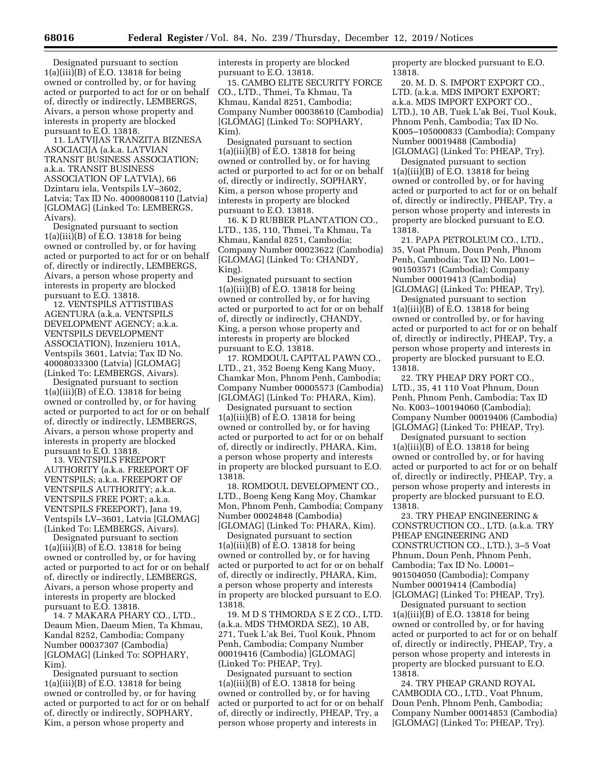Designated pursuant to section 1(a)(iii)(B) of E.O. 13818 for being owned or controlled by, or for having acted or purported to act for or on behalf of, directly or indirectly, LEMBERGS, Aivars, a person whose property and interests in property are blocked pursuant to E.O. 13818.

11. LATVIJAS TRANZITA BIZNESA ASOCIACIJA (a.k.a. LATVIAN TRANSIT BUSINESS ASSOCIATION; a.k.a. TRANSIT BUSINESS ASSOCIATION OF LATVIA), 66 Dzintaru iela, Ventspils LV–3602, Latvia; Tax ID No. 40008008110 (Latvia) [GLOMAG] (Linked To: LEMBERGS, Aivars).

Designated pursuant to section 1(a)(iii)(B) of E.O. 13818 for being owned or controlled by, or for having acted or purported to act for or on behalf of, directly or indirectly, LEMBERGS, Aivars, a person whose property and interests in property are blocked pursuant to E.O. 13818.

12. VENTSPILS ATTISTIBAS AGENTURA (a.k.a. VENTSPILS DEVELOPMENT AGENCY; a.k.a. VENTSPILS DEVELOPMENT ASSOCIATION), Inzenieru 101A, Ventspils 3601, Latvia; Tax ID No. 40008033300 (Latvia) [GLOMAG] (Linked To: LEMBERGS, Aivars).

Designated pursuant to section 1(a)(iii)(B) of E.O. 13818 for being owned or controlled by, or for having acted or purported to act for or on behalf of, directly or indirectly, LEMBERGS, Aivars, a person whose property and interests in property are blocked pursuant to E.O. 13818.

13. VENTSPILS FREEPORT AUTHORITY (a.k.a. FREEPORT OF VENTSPILS; a.k.a. FREEPORT OF VENTSPILS AUTHORITY; a.k.a. VENTSPILS FREE PORT; a.k.a. VENTSPILS FREEPORT), Jana 19, Ventspils LV–3601, Latvia [GLOMAG] (Linked To: LEMBERGS, Aivars).

Designated pursuant to section  $1(a)(iii)(B)$  of E.O. 13818 for being owned or controlled by, or for having acted or purported to act for or on behalf of, directly or indirectly, LEMBERGS, Aivars, a person whose property and interests in property are blocked pursuant to E.O. 13818.

14. 7 MAKARA PHARY CO., LTD., Deaum Mien, Daeum Mien, Ta Khmau, Kandal 8252, Cambodia; Company Number 00037307 (Cambodia) [GLOMAG] (Linked To: SOPHARY, Kim).

Designated pursuant to section 1(a)(iii)(B) of E.O. 13818 for being owned or controlled by, or for having acted or purported to act for or on behalf of, directly or indirectly, SOPHARY, Kim, a person whose property and

interests in property are blocked pursuant to E.O. 13818.

15. CAMBO ELITE SECURITY FORCE CO., LTD., Thmei, Ta Khmau, Ta Khmau, Kandal 8251, Cambodia; Company Number 00038610 (Cambodia) [GLOMAG] (Linked To: SOPHARY, Kim).

Designated pursuant to section 1(a)(iii)(B) of E.O. 13818 for being owned or controlled by, or for having acted or purported to act for or on behalf of, directly or indirectly, SOPHARY, Kim, a person whose property and interests in property are blocked pursuant to E.O. 13818.

16. K D RUBBER PLANTATION CO., LTD., 135, 110, Thmei, Ta Khmau, Ta Khmau, Kandal 8251, Cambodia; Company Number 00023622 (Cambodia) [GLOMAG] (Linked To: CHANDY, King).

Designated pursuant to section 1(a)(iii)(B) of E.O. 13818 for being owned or controlled by, or for having acted or purported to act for or on behalf of, directly or indirectly, CHANDY, King, a person whose property and interests in property are blocked pursuant to E.O. 13818.

17. ROMDOUL CAPITAL PAWN CO., LTD., 21, 352 Boeng Keng Kang Muoy, Chamkar Mon, Phnom Penh, Cambodia; Company Number 00005573 (Cambodia) [GLOMAG] (Linked To: PHARA, Kim).

Designated pursuant to section  $1(a)(iii)(B)$  of E.O. 13818 for being owned or controlled by, or for having acted or purported to act for or on behalf of, directly or indirectly, PHARA, Kim, a person whose property and interests in property are blocked pursuant to E.O. 13818.

18. ROMDOUL DEVELOPMENT CO., LTD., Boeng Keng Kang Moy, Chamkar Mon, Phnom Penh, Cambodia; Company Number 00024848 (Cambodia) [GLOMAG] (Linked To: PHARA, Kim).

Designated pursuant to section 1(a)(iii)(B) of E.O. 13818 for being owned or controlled by, or for having acted or purported to act for or on behalf of, directly or indirectly, PHARA, Kim, a person whose property and interests in property are blocked pursuant to E.O. 13818.

19. M D S THMORDA S E Z CO., LTD. (a.k.a. MDS THMORDA SEZ), 10 AB, 271, Tuek L'ak Bei, Tuol Kouk, Phnom Penh, Cambodia; Company Number 00019416 (Cambodia) [GLOMAG] (Linked To: PHEAP, Try).

Designated pursuant to section 1(a)(iii)(B) of E.O. 13818 for being owned or controlled by, or for having acted or purported to act for or on behalf of, directly or indirectly, PHEAP, Try, a person whose property and interests in

property are blocked pursuant to E.O. 13818.

20. M. D. S. IMPORT EXPORT CO., LTD. (a.k.a. MDS IMPORT EXPORT; a.k.a. MDS IMPORT EXPORT CO., LTD.), 10 AB, Tuek L'ak Bei, Tuol Kouk, Phnom Penh, Cambodia; Tax ID No. K005–105000833 (Cambodia); Company Number 00019488 (Cambodia) [GLOMAG] (Linked To: PHEAP, Try).

Designated pursuant to section 1(a)(iii)(B) of E.O. 13818 for being owned or controlled by, or for having acted or purported to act for or on behalf of, directly or indirectly, PHEAP, Try, a person whose property and interests in property are blocked pursuant to E.O. 13818.

21. PAPA PETROLEUM CO., LTD., 35, Voat Phnum, Doun Penh, Phnom Penh, Cambodia; Tax ID No. L001– 901503571 (Cambodia); Company Number 00019413 (Cambodia) [GLOMAG] (Linked To: PHEAP, Try).

Designated pursuant to section 1(a)(iii)(B) of E.O. 13818 for being owned or controlled by, or for having acted or purported to act for or on behalf of, directly or indirectly, PHEAP, Try, a person whose property and interests in property are blocked pursuant to E.O. 13818.

22. TRY PHEAP DRY PORT CO., LTD., 35, 41 110 Voat Phnum, Doun Penh, Phnom Penh, Cambodia; Tax ID No. K003–100194060 (Cambodia); Company Number 00019406 (Cambodia) [GLOMAG] (Linked To: PHEAP, Try).

Designated pursuant to section 1(a)(iii)(B) of E.O. 13818 for being owned or controlled by, or for having acted or purported to act for or on behalf of, directly or indirectly, PHEAP, Try, a person whose property and interests in property are blocked pursuant to E.O. 13818.

23. TRY PHEAP ENGINEERING & CONSTRUCTION CO., LTD. (a.k.a. TRY PHEAP ENGINEERING AND CONSTRUCTION CO., LTD.), 3–5 Voat Phnum, Doun Penh, Phnom Penh, Cambodia; Tax ID No. L0001– 901504050 (Cambodia); Company Number 00019414 (Cambodia) [GLOMAG] (Linked To: PHEAP, Try).

Designated pursuant to section 1(a)(iii)(B) of E.O. 13818 for being owned or controlled by, or for having acted or purported to act for or on behalf of, directly or indirectly, PHEAP, Try, a person whose property and interests in property are blocked pursuant to E.O. 13818.

24. TRY PHEAP GRAND ROYAL CAMBODIA CO., LTD., Voat Phnum, Doun Penh, Phnom Penh, Cambodia; Company Number 00014853 (Cambodia) [GLOMAG] (Linked To: PHEAP, Try).